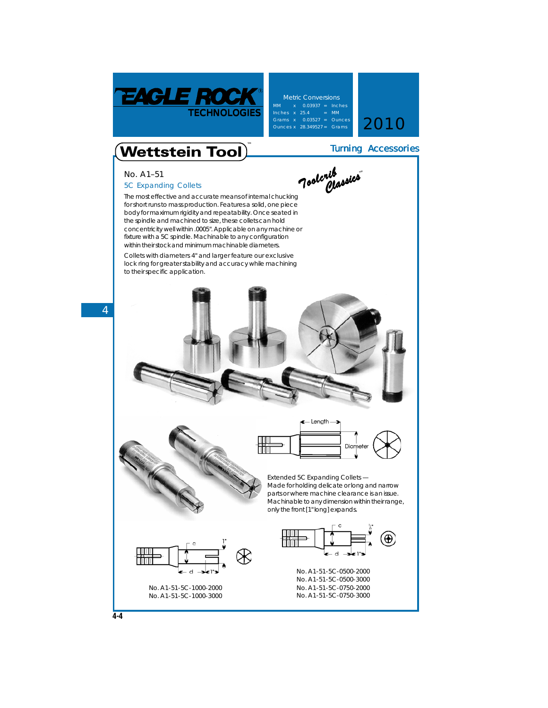

**Metric Conversions** Inches x 25.4 = MM<br>Grams x 0.03527 = Ounces<br>Ounces x 28.349527 = Grams **2010** 

Turning Accessories

## $\widetilde{\textbf{Wettstein}}$  Tool

**No. A1–51**

**4**

## **5C Expanding Collets**

The most effective and accurate means of internal chucking for short runs to mass production. Features a solid, one piece body for maximum rigidity and repeatability. Once seated in the spindle and machined to size, these collets can hold concentricity well within .0005". Applicable on any machine or fixture with a 5C spindle. Machinable to any configuration within their stock and minimum machinable diameters. *Toolcrib Classics Classics***™**

## **Collets with diameters 4" and larger feature our exclusive lock ring** for greater stability and accuracy while machining to their specific application.





## **Extended 5C Expanding Collets** —

Made for holding delicate or long and narrow parts or where machine clearance is an issue. Machinable to any dimension within their range, only the front [1" long] expands.

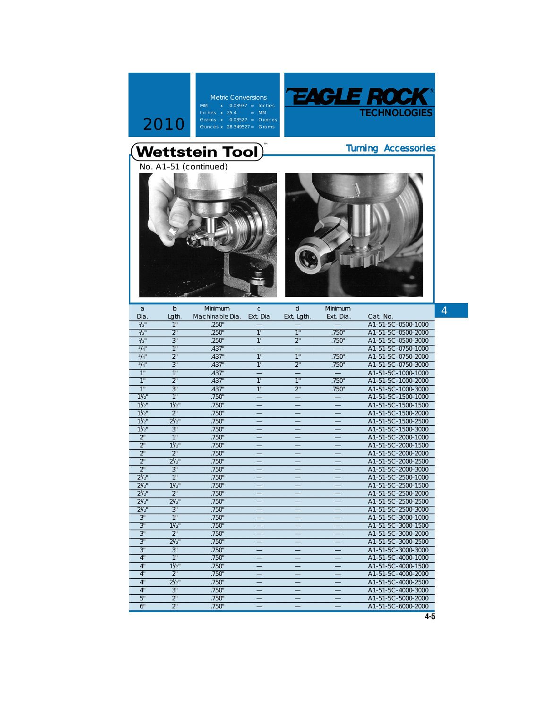





| a                        | $\mathbf b$    | Minimum         | $\mathbf{C}$             | $\mathbf d$              | Minimum                  |                    | 4 |
|--------------------------|----------------|-----------------|--------------------------|--------------------------|--------------------------|--------------------|---|
| Dia.                     | Lgth.          | Machinable Dia. | Ext. Dia                 | Ext. Lgth.               | Ext. Dia.                | Cat. No.           |   |
| $\frac{1}{2}$            | 1"             | .250"           |                          |                          |                          | A1-51-5C-0500-1000 |   |
| $\overline{\frac{1}{2}}$ | 2 <sup>n</sup> | .250"           | $\overline{1}$           | 1"                       | .750"                    | A1-51-5C-0500-2000 |   |
| $\frac{1}{2}$            | 3"             | .250"           | 1"                       | 2"                       | .750"                    | A1-51-5C-0500-3000 |   |
| $3/4$ "                  | 1"             | .437"           |                          |                          |                          | A1-51-5C-0750-1000 |   |
| 3/4"                     | 2 <sup>n</sup> | .437"           | 1"                       | 1"                       | .750"                    | A1-51-5C-0750-2000 |   |
| $3/4$ "                  | 3"             | .437"           | $\overline{1}$           | 2"                       | .750"                    | A1-51-5C-0750-3000 |   |
| 1"                       | $\overline{1}$ | .437"           |                          |                          |                          | A1-51-5C-1000-1000 |   |
| 1"                       | 2 <sup>n</sup> | .437"           | 1"                       | 1"                       | .750"                    | A1-51-5C-1000-2000 |   |
| 1"                       | 3"             | .437"           | 1"                       | 2"                       | .750"                    | A1-51-5C-1000-3000 |   |
| $11/2$ "                 | 1"             | .750"           |                          |                          |                          | A1-51-5C-1500-1000 |   |
| $11/2$ "                 | $11/2$ "       | .750"           |                          |                          |                          | A1-51-5C-1500-1500 |   |
| $11/2$ "                 | 2 <sup>n</sup> | .750"           |                          |                          |                          | A1-51-5C-1500-2000 |   |
| 11/2                     | $2^{1/2}$      | .750"           |                          |                          |                          | A1-51-5C-1500-2500 |   |
| $11/2$ "                 | 3"             | .750"           |                          |                          |                          | A1-51-5C-1500-3000 |   |
| 2 <sup>n</sup>           | 1 <sup>n</sup> | .750"           |                          |                          |                          | A1-51-5C-2000-1000 |   |
| 2 <sup>n</sup>           | $11/2$ "       | .750"           |                          |                          |                          | A1-51-5C-2000-1500 |   |
| 2"                       | 2 <sup>n</sup> | .750"           |                          |                          |                          | A1-51-5C-2000-2000 |   |
| 2 <sup>n</sup>           | $2^{1/2}$ "    | .750"           |                          |                          |                          | A1-51-5C-2000-2500 |   |
| 2 <sup>n</sup>           | 3"             | .750"           |                          |                          |                          | A1-51-5C-2000-3000 |   |
| $2^{1/2}$                | 1 <sup>n</sup> | .750"           |                          |                          |                          | A1-51-5C-2500-1000 |   |
| $2^{1/2}$                | $11/2$ "       | .750"           |                          |                          |                          | A1-51-5C-2500-1500 |   |
| $2^{1/2}$                | 2 <sup>n</sup> | .750"           |                          |                          |                          | A1-51-5C-2500-2000 |   |
| $2\frac{1}{2}$           | $2^{1/2}$      | .750"           |                          |                          |                          | A1-51-5C-2500-2500 |   |
| $2^{1/2}$                | 3"             | .750"           |                          |                          | $\overline{\phantom{0}}$ | A1-51-5C-2500-3000 |   |
| 3"                       | 1"             | .750"           |                          |                          |                          | A1-51-5C-3000-1000 |   |
| 3"                       | 11/2           | .750"           |                          |                          |                          | A1-51-5C-3000-1500 |   |
| 3"                       | 2 <sup>n</sup> | .750"           |                          |                          |                          | A1-51-5C-3000-2000 |   |
| 3"                       | $2^{1/2}$ "    | .750"           | $\qquad \qquad -$        |                          |                          | A1-51-5C-3000-2500 |   |
| 3"                       | 3"             | .750"           | $\qquad \qquad -$        | $\overline{\phantom{0}}$ | $\overline{\phantom{0}}$ | A1-51-5C-3000-3000 |   |
| 4"                       | $\overline{1}$ | .750"           |                          |                          |                          | A1-51-5C-4000-1000 |   |
| 4"                       | $11/2$ "       | .750"           |                          |                          |                          | A1-51-5C-4000-1500 |   |
| 4"                       | 2 <sup>n</sup> | .750"           | $\overline{\phantom{0}}$ |                          |                          | A1-51-5C-4000-2000 |   |
| 4"                       | $2^{1/2}$      | .750"           |                          |                          |                          | A1-51-5C-4000-2500 |   |
| 4"                       | 3"             | .750"           |                          |                          |                          | A1-51-5C-4000-3000 |   |
| 5"                       | 2 <sup>n</sup> | .750"           |                          |                          |                          | A1-51-5C-5000-2000 |   |
| 6"                       | 2 <sup>n</sup> | .750"           |                          |                          |                          | A1-51-5C-6000-2000 |   |